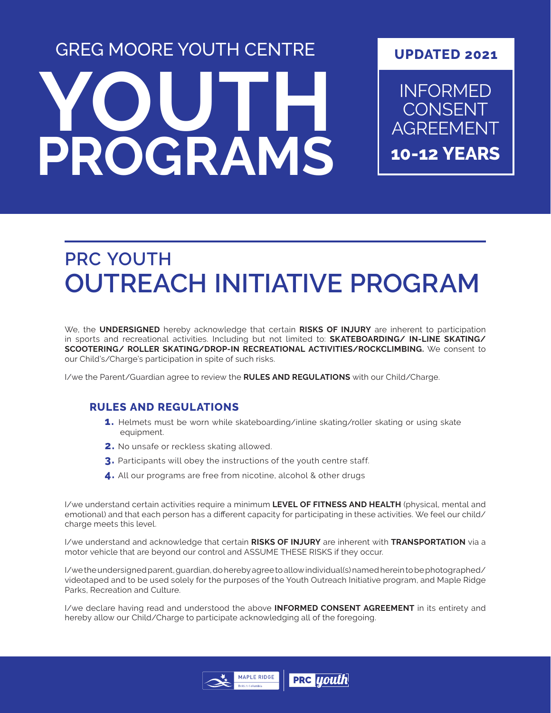# **YOUTH PROGRAMS** GREG MOORE YOUTH CENTRE

#### **UPDATED 2021**

INFORMED CONSENT AGREEMENT **10-12 YEARS**

## **PRC YOUTH OUTREACH INITIATIVE PROGRAM**

We, the **UNDERSIGNED** hereby acknowledge that certain **RISKS OF INJURY** are inherent to participation in sports and recreational activities. Including but not limited to: **SKATEBOARDING/ IN-LINE SKATING/ SCOOTERING/ ROLLER SKATING/DROP-IN RECREATIONAL ACTIVITIES/ROCKCLIMBING.** We consent to our Child's/Charge's participation in spite of such risks.

I/we the Parent/Guardian agree to review the **RULES AND REGULATIONS** with our Child/Charge.

#### **RULES AND REGULATIONS**

- **1.** Helmets must be worn while skateboarding/inline skating/roller skating or using skate equipment.
- **2.** No unsafe or reckless skating allowed.
- **3.** Participants will obey the instructions of the youth centre staff.
- **4.** All our programs are free from nicotine, alcohol & other drugs

I/we understand certain activities require a minimum **LEVEL OF FITNESS AND HEALTH** (physical, mental and emotional) and that each person has a different capacity for participating in these activities. We feel our child/ charge meets this level.

I/we understand and acknowledge that certain **RISKS OF INJURY** are inherent with **TRANSPORTATION** via a motor vehicle that are beyond our control and ASSUME THESE RISKS if they occur.

I/we the undersigned parent, guardian, do hereby agree to allow individual(s) named herein to be photographed/ videotaped and to be used solely for the purposes of the Youth Outreach Initiative program, and Maple Ridge Parks, Recreation and Culture.

I/we declare having read and understood the above **INFORMED CONSENT AGREEMENT** in its entirety and hereby allow our Child/Charge to participate acknowledging all of the foregoing.